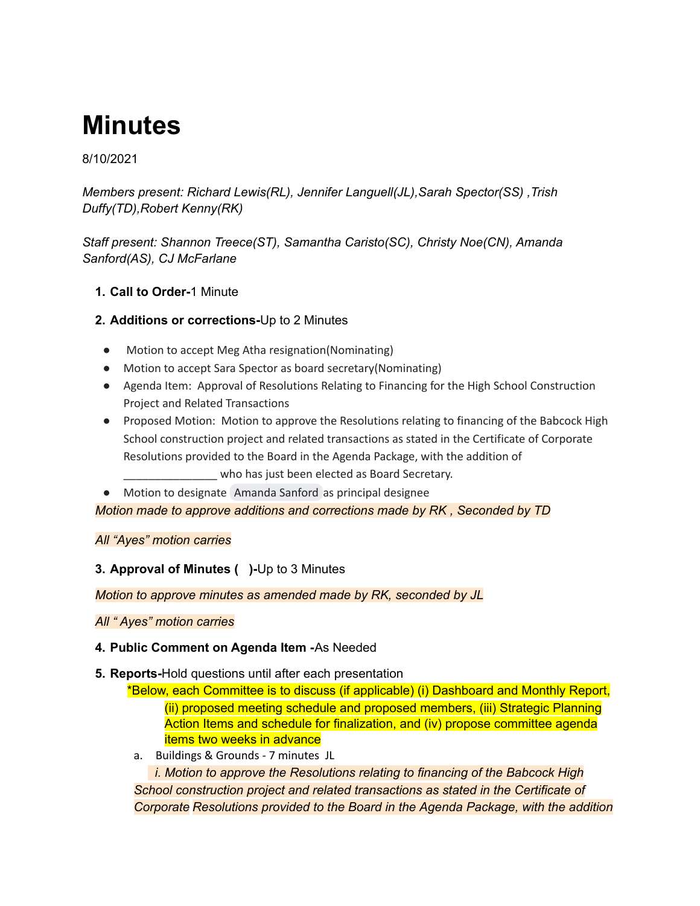# **Minutes**

# 8/10/2021

*Members present: Richard Lewis(RL), Jennifer Languell(JL),Sarah Spector(SS) ,Trish Duffy(TD),Robert Kenny(RK)*

*Staff present: Shannon Treece(ST), Samantha Caristo(SC), Christy Noe(CN), Amanda Sanford(AS), CJ McFarlane*

# **1. Call to Order-**1 Minute

# **2. Additions or corrections-**Up to 2 Minutes

- Motion to accept Meg Atha resignation(Nominating)
- Motion to accept Sara Spector as board secretary(Nominating)
- Agenda Item: Approval of Resolutions Relating to Financing for the High School Construction Project and Related Transactions
- Proposed Motion: Motion to approve the Resolutions relating to financing of the Babcock High School construction project and related transactions as stated in the Certificate of Corporate Resolutions provided to the Board in the Agenda Package, with the addition of who has just been elected as Board Secretary.
- Motion to designate [Amanda](mailto:asanford@babcockneighborhoodschool.org) Sanford as principal designee

*Motion made to approve additions and corrections made by RK , Seconded by TD*

# *All "Ayes" motion carries*

# **3. Approval of Minutes ( )-**Up to 3 Minutes

*Motion to approve minutes as amended made by RK, seconded by JL*

# *All " Ayes" motion carries*

# **4. Public Comment on Agenda Item -**As Needed

**5. Reports-**Hold questions until after each presentation

\*Below, each Committee is to discuss (if applicable) (i) Dashboard and Monthly Report, (ii) proposed meeting schedule and proposed members, (iii) Strategic Planning Action Items and schedule for finalization, and (iv) propose committee agenda items two weeks in advance

a. Buildings & Grounds - 7 minutes JL

*i. Motion to approve the Resolutions relating to financing of the Babcock High School construction project and related transactions as stated in the Certificate of Corporate Resolutions provided to the Board in the Agenda Package, with the addition*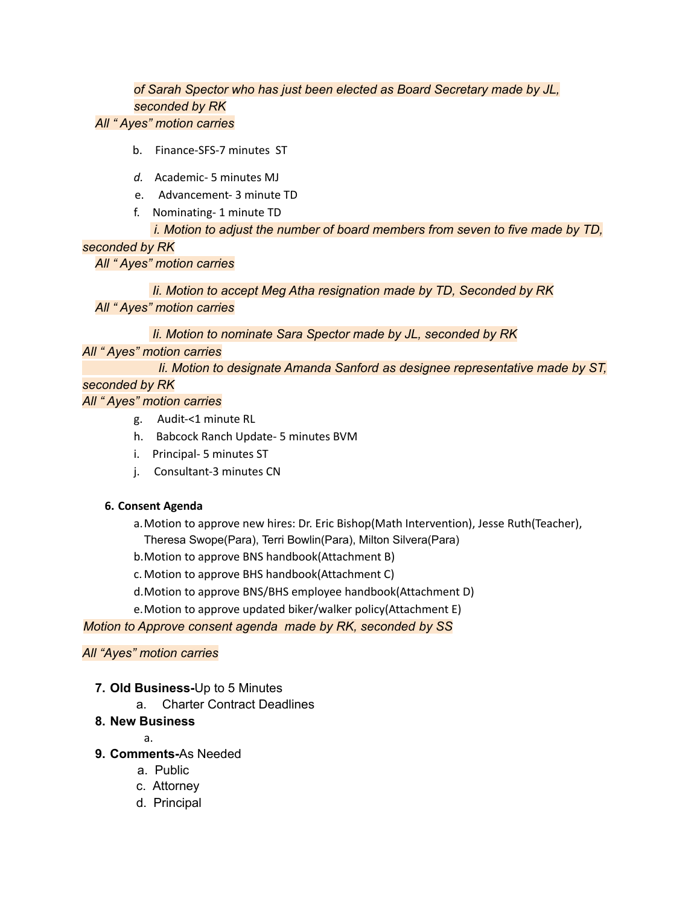# *of Sarah Spector who has just been elected as Board Secretary made by JL, seconded by RK*

#### *All " Ayes" motion carries*

- b. Finance-SFS-7 minutes ST
- *d.* Academic- 5 minutes MJ
- e. Advancement- 3 minute TD
- f. Nominating- 1 minute TD

#### *i. Motion to adjust the number of board members from seven to five made by TD,*

# *seconded by RK*

*All " Ayes" motion carries*

*Ii. Motion to accept Meg Atha resignation made by TD, Seconded by RK All " Ayes" motion carries*

*Ii. Motion to nominate Sara Spector made by JL, seconded by RK*

# *All " Ayes" motion carries*

*Ii. Motion to designate Amanda Sanford as designee representative made by ST,*

# *seconded by RK*

# *All " Ayes" motion carries*

- g. Audit-<1 minute RL
- h. Babcock Ranch Update- 5 minutes BVM
- i. Principal- 5 minutes ST
- j. Consultant-3 minutes CN

# **6. Consent Agenda**

- a.Motion to approve new hires: Dr. Eric Bishop(Math Intervention), Jesse Ruth(Teacher), Theresa Swope(Para), Terri Bowlin(Para), Milton Silvera(Para)
- b.Motion to approve BNS handbook(Attachment B)
- c. Motion to approve BHS handbook(Attachment C)
- d.Motion to approve BNS/BHS employee handbook(Attachment D)
- e.Motion to approve updated biker/walker policy(Attachment E)

# *Motion to Approve consent agenda made by RK, seconded by SS*

# *All "Ayes" motion carries*

- **7. Old Business-**Up to 5 Minutes
	- a. Charter Contract Deadlines

# **8. New Business**

a.

- **9. Comments-**As Needed
	- a. Public
	- c. Attorney
	- d. Principal